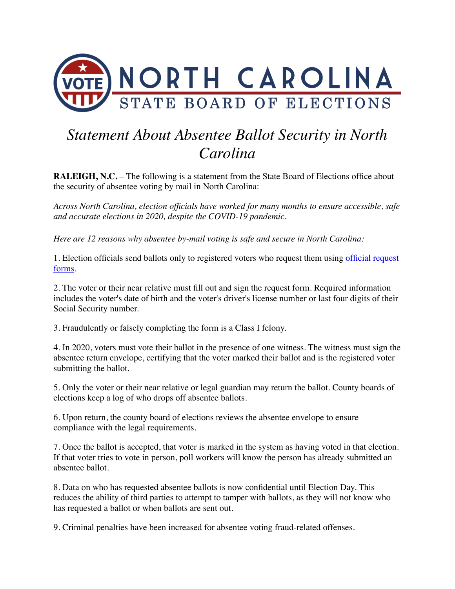

## *Statement About Absentee Ballot Security in North Carolina*

**RALEIGH, N.C.** – The following is a statement from the State Board of Elections office about the security of absentee voting by mail in North Carolina:

*Across North Carolina, election officials have worked for many months to ensure accessible, safe and accurate elections in 2020, despite the COVID-19 pandemic.*

*Here are 12 reasons why absentee by-mail voting is safe and secure in North Carolina:*

1. Election officials send ballots only to registered voters who request them using [official request](https://s3.amazonaws.com/dl.ncsbe.gov/Forms/NCAbsenteeBallotRequestForm.pdf)  [forms.](https://s3.amazonaws.com/dl.ncsbe.gov/Forms/NCAbsenteeBallotRequestForm.pdf)

2. The voter or their near relative must fill out and sign the request form. Required information includes the voter's date of birth and the voter's driver's license number or last four digits of their Social Security number.

3. Fraudulently or falsely completing the form is a Class I felony.

4. In 2020, voters must vote their ballot in the presence of one witness. The witness must sign the absentee return envelope, certifying that the voter marked their ballot and is the registered voter submitting the ballot.

5. Only the voter or their near relative or legal guardian may return the ballot. County boards of elections keep a log of who drops off absentee ballots.

6. Upon return, the county board of elections reviews the absentee envelope to ensure compliance with the legal requirements.

7. Once the ballot is accepted, that voter is marked in the system as having voted in that election. If that voter tries to vote in person, poll workers will know the person has already submitted an absentee ballot.

8. Data on who has requested absentee ballots is now confidential until Election Day. This reduces the ability of third parties to attempt to tamper with ballots, as they will not know who has requested a ballot or when ballots are sent out.

9. Criminal penalties have been increased for absentee voting fraud-related offenses.